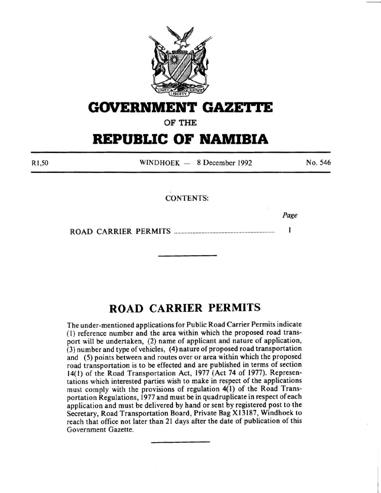

## **GOVERNMENT GAZE'rtE**

OF THE

# **REPUBLIC OF NAMIBIA**

Rl ,50  $WINDHOEK = 8$  December 1992 No. 546

#### CONTENTS:

*Page* 

ROAD CARRIER PERMITS ................................................................. . 1

### **ROAD CARRIER PERMITS**

The under-mentioned applications for Public Road Carrier Permits indicate ( I) reference number and the area within which the proposed road transport will be undertaken, (2) name of applicant and nature of application, (3) number and type of vehicles, (4) nature of proposed road transportation and (5) points between and routes over or area within which the proposed road transportation is to be effected and are published in terms of section 14(1) of the Road Transportation Act, 1977 (Act 74 of 1977). Representations which interested parties wish to make in respect of the applications must comply with the provisions of regulation 4(1) of the Road Transportation Regulations, 1977 and must be in quadruplicate in respect of each application and must be delivered by hand or sent by registered post to the Secretary, Road Transportation Board, Private Bag X 13 187, Windhoek to reach that office not later than 21 days after the date of publication of this Government Gazette.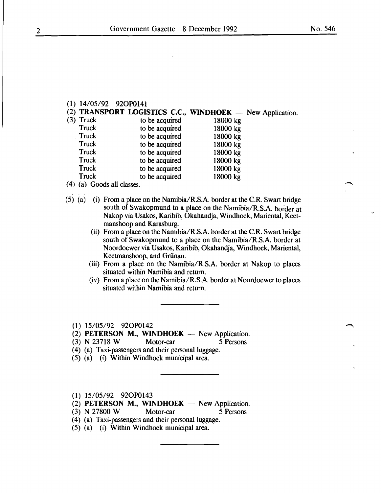### (1) 14/05/92 920P0141

(2) **TRANSPORT LOGISTICS C.C., WINDHOEK**  $-$  New Application.<br>(3) Truck to be acquired 18000 kg Truck to be acquired 18000 kg<br>Truck to be acquired 18000 kg Truck to be acquired 18000 kg<br>Truck to be acquired 18000 kg Truck to be acquired 18000 kg<br>Truck to be acquired 18000 kg Truck to be acquired 18000 kg<br>Truck to be acquired 18000 kg Truck to be acquired 18000 kg<br>Truck to be acquired 18000 kg Truck to be acquired<br>Truck to be acquired Truck to be acquired 18000 kg<br>Truck to be acquired 18000 kg to be acquired

*(* 4) (a) Goods all classes.

- (5) (a) (i) From a place on the Namibia/R.S.A. border at the C.R. Swart bridge south of Swakopmund to a place on the Namibia/R.S.A. border at Nakop via Usakos, Karibib, Okahandja, Windhoek, Mariental, Keetmanshoop and Karasburg.
	- (ii) From a place on the Namibia/R.S.A. border at the C.R. Swart bridge south of Swakopmund to a place on the Namibia/R.S.A. border at Noordoewer via Usakos, Karibib, Okahandja, Windhoek, Mariental, Keetmanshoop, and Griinau.
	- (iii) From a place on the Namibia/R.S.A. border at Nakop to places situated within Namibia and return.
	- (iv) From a place on the Namibia/R.S.A. border at Noordoewer to places situated within Namibia and return.

(1) 15/05/92 920P0142

(2) **PETERSON M., WINDHOEK** — New Application.

(3) N 23718 W Motor-car 5 Persons

(4) (a) Taxi-passengers and their personal luggage.

(5) (a) (i) Within Windhoek municipal area.

(1) 15/05/92 920P0143

 $(2)$  **PETERSON M., WINDHOEK** — New Application.

(3) N 27800 W Motor-car 5 Persons

- (4) (a) Taxi-passengers and their personal luggage.
- (5) (a) (i) Within Windhoek municipal area.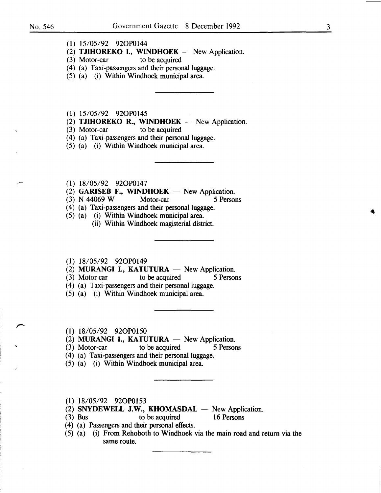- (1) 15/05/92 920P0144
- (2) TJIHOREKO I., WINDHOEK  $-$  New Application.
- (3) Motor-car to be acquired
- (4) (a) Taxi-passengers and their personal luggage.
- (5) (a) (i) Within Windhoek municipal area.
- (1) 15/05/92 920P0145
- (2) TJIHOREKO R., WINDHOEK  $-$  New Application.
- (3) Motor-car to be acquired
- (4) (a) Taxi-passengers and their personal luggage.
- (5) (a) (i) Within Windhoek municipal area.
- (l) 18/05/92 920P0147
- (2) GARISEB F., WINDHOEK New Application.<br>
(3) N 44069 W Motor-car 5 Persons
- $(3)$  N 44069 W
- (4) (a) Taxi-passengers and their personal luggage.
- (5) (a) (i) Within Windhoek municipal area.
	- (ii) Within Windhoek magisterial district.
- (1) 18/05/92 920P0149
- (2) MURANGI I., KATUTURA  $-$  New Application.<br>(3) Motor car to be acquired 5 Persons
- (3) Motor car to be acquired
- (4) (a) Taxi-passengers and their personal luggage.
- (5) (a) (i) Within Windhoek municipal area.
- (1) 18/05/92 920P0150
- (2) MURANGI I., KATUTURA  $-$  New Application.
- (3) Motor-car to be acquired 5 Persons
- (4) (a) Taxi-passengers and their personal luggage.
- (5) (a) (i) Within Windhoek municipal area.
- (1) 18/05/92 920P0153
- $(2)$  SNYDEWELL J.W., KHOMASDAL  $-$  New Application.
- (3) Bus to be acquired 16 Persons
- ( 4) (a) Passengers and their personal effects.
- (5) (a) (i) From Rehoboth to Windhoek via the main road and return via the same route.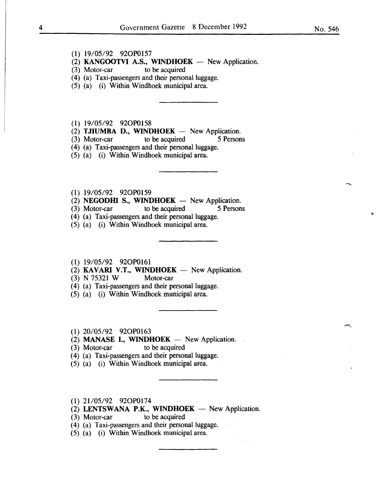#### **(1)** 19/05/92 920P0157

- (2) **KANGOOTVI A.S., WINDHOEK** New Application.<br>(3) Motor-car to be acquired
- $(3)$  Motor-car
- (4) (a) Taxi-passengers and their personal luggage.
- (5) (a) (i) Within Windhoek municipal area.

**(1)** 19/05/92 920P0158

- (2) **TJIUMBA D., WINDHOEK** New Application.
- (3) Motor-car to be acquired 5 Persons

(4) (a) Taxi-passengers and their personal luggage.

- (5) (a) (i) Within Windhoek municipal area.
- **(1)** 19/05/92 920P0159
- $(2)$  **NEGODHI S., WINDHOEK** New Application.
- (3) Motor-car to be acquired 5 Persons
- (4) (a) Taxi-passengers and their personal luggage.
- (5) (a) (i) Within Windhoek municipal area.
- **(1)** 19/05/92 920P0161
- $(2)$  **KAVARI V.T., WINDHOEK** New Application.
- (3) N 75321 W Motor-car
- (4) (a) Taxi-passengers and their personal luggage.
- (5) (a) (i) Within Windhoek municipal area.
- **(1)** 20/05/92 920P0163
- $(2)$  **MANASE I., WINDHOEK** New Application.
- (3) Motor-car to be acquired
- ( 4) (a) Taxi-passengers and their personal luggage.
- (5) (a) (i) Within Windhoek municipal area.
- **(1)** 21105/92 920P0174
- $(2)$  **LENTSWANA P.K., WINDHOEK** New Application.

(3) Motor-car to be acquired

- (4) (a) Taxi-passengers and their personal luggage.
- (5) (a) (i) Within Windhoek municipal area.

 $\overline{\phantom{1}}$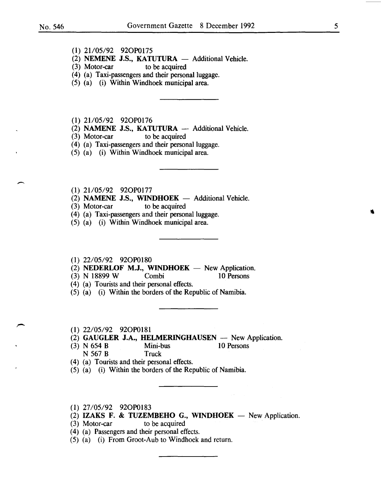$\overline{\phantom{0}}$ 

- (1) 21/05/92 92OP0175
- (2) **NEMENE J.S., KATUTURA**  $-$  Additional Vehicle.<br>(3) Motor-car to be acquired
- to be acquired
- (4) (a) Taxi-passengers and their personal luggage.
- (5) (a) (i) Within Windhoek municipal area.
- (1) 21/05/92 92OP0176
- (2) NAMENE J.S., KATUTURA  $-$  Additional Vehicle.<br>(3) Motor-car to be acquired
- $(3)$  Motor-car
- (4) (a) Taxi-passengers and their personal luggage.
- (5) (a) (i) Within Windhoek municipal area.
- (1) 21/05/92 92OP0177
- (2) **NAMENE J.S., WINDHOEK**  $-$  Additional Vehicle.<br>(3) Motor-car to be acquired
- $(3)$  Motor-car
- (4) (a) Taxi-passengers and their personal luggage.
- (5) (a) (i) Within Windhoek municipal area.
- (1) 22/05/92 920P0180
- (2) NEDERLOF M.J., WINDHOEK  $-$  New Application.
- (3) N 18899 W Combi 10 Persons
- ( 4) (a) Tourists and their personal effects.
- (5) (a) (i) Within the borders of the Republic of Namibia.
- (1) 22/05/92 920P0181
- (2) GAUGLER J.A., HELMERINGHAUSEN  $-$  New Application.<br>(3) N 654 B Mini-bus 10 Persons
- (3) N 654 B Mini-bus 10 Persons N 567 B Truck
- ( 4) (a) Tourists and their personal effects.
- (5) (a) (i) Within the borders of the Republic of Namibia.
- (1) 27/05/92 920P0183
- (2) IZAKS F. & TUZEMBEHO G., WINDHOEK  $-$  New Application.
- (3) Motor-car to be acquired
- ( 4) (a) Passengers and their personal effects.
- $(5)$  (a) (i) From Groot-Aub to Windhoek and return.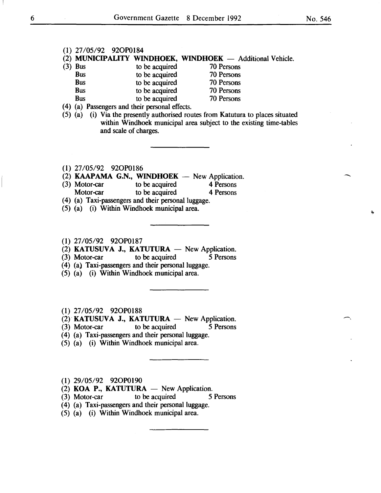#### (1) 27/05/92 920P0184

# (2) MUNICIPALITY WINDHOEK, WINDHOEK  $-$  Additional Vehicle.<br>(3) Bus to be acquired 70 Persons

- Bus to be acquired 70 Persons<br>Bus to be acquired 70 Persons Bus to be acquired 70 Persons<br>Bus to be acquired 70 Persons Bus to be acquired 70 Persons<br>Bus to be acquired 70 Persons
	- Bus to be acquired 70 Persons<br>Bus to be acquired 70 Persons
		- to be acquired
- ( 4) (a) Passengers and their personal effects.
- (5) (a) (i) Via the presently authorised routes from Katutura to places situated within Windhoek municipal area subject to the existing time-tables and scale of charges.

(1) 27/05/92 920P0186

- (2) **KAAPAMA G.N., WINDHOEK** New Application.<br>(3) Motor-car to be acquired 4 Persons
- Motor-car to be acquired 4 Persons<br>
Motor-car to be acquired 4 Persons to be acquired
- ( 4) (a) Taxi-passengers and their personal luggage.
- (5) (a) (i) Within Windhoek municipal area.
- (1) 27/05/92 920P0187

(2) **KATUSUVA J., KATUTURA**  $-$  New Application.<br>(3) Motor-car to be acquired 5 Persons

- to be acquired 5 Persons
- (4) (a) Taxi-passengers and their personal luggage.
- (5) (a) (i) Within Windhoek municipal area.

(1) 27/05/92 920P0188

- $(2)$  KATUSUVA J., KATUTURA New Application.
- (3) Motor-car to be acquired 5 Persons
- (4) (a) Taxi-passengers and their personal luggage.
- (5) (a) (i) Within Windhoek municipal area.

(1) 29/05/92 920P0190

- (2) KOA P., KATUTURA  $-$  New Application.
- (3) Motor-car to be acquired 5 Persons
- (4) (a) Taxi-passengers and their personal luggage.
- (5) (a) (i) Within Windhoek municipal area.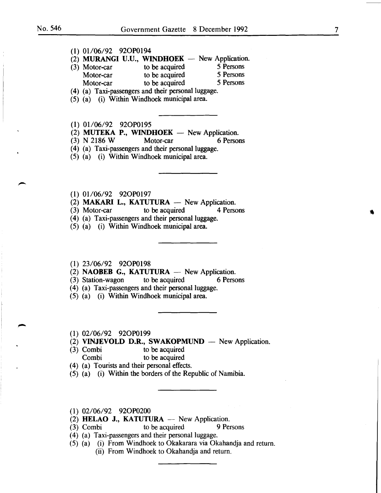| $(1)$ 01/06/92 92OP0194 |                                                                              |           |
|-------------------------|------------------------------------------------------------------------------|-----------|
|                         | (2) MURANGI U.U., WINDHOEK - New Application.                                |           |
|                         | (3) Motor-car to be acquired 5 Persons<br>Motor-car to be acquired 5 Persons |           |
|                         |                                                                              |           |
|                         | Motor-car to be acquired 5 Persons                                           |           |
|                         | (4) (a) Taxi-passengers and their personal luggage.                          |           |
|                         | (5) (a) (i) Within Windhoek municipal area.                                  |           |
|                         |                                                                              |           |
|                         |                                                                              |           |
| $(1)$ 01/06/92 92OP0195 |                                                                              |           |
|                         | (2) MUTEKA P., WINDHOEK - New Application.                                   |           |
|                         | $(3)$ N 2186 W Motor-car                                                     | 6 Persons |
|                         | (4) (a) Taxi-passengers and their personal luggage.                          |           |
|                         | (5) (a) (i) Within Windhoek municipal area.                                  |           |
|                         |                                                                              |           |
|                         |                                                                              |           |
|                         |                                                                              |           |
|                         |                                                                              |           |
| $(1)$ 01/06/92 92OP0197 |                                                                              |           |
|                         | (2) MAKARI L., KATUTURA — New Application.                                   |           |
|                         | (3) Motor-car to be acquired 4 Persons                                       |           |
|                         | (4) (a) Taxi-passengers and their personal luggage.                          |           |
|                         | (5) (a) (i) Within Windhoek municipal area.                                  |           |
|                         |                                                                              |           |
|                         |                                                                              |           |
|                         |                                                                              |           |

#### **(1)** 23/06/92 920P0198

(2) **NAOBEB G., KATUTURA** — New Application.<br>(3) Station-wagon to be acquired 6 Persons

 $(3)$  Station-wagon

(4) (a) Taxi-passengers and their personal luggage.

(5) (a) (i) Within Windhoek municipal area.

- (1) 02/06/92 920P0199
- (2) **VINJEVOLD D.R., SWAKOPMUND** New Application.<br>(3) Combi to be acquired
- to be acquired Combi to be acquired
- ( 4) (a) Tourists and their personal effects.
- (5) (a) (i) Within the borders of the Republic of Namibia.
- (1) 02/06/92 920P0200
- (2) **HELAO J., KATUTURA** New Application.
- (3) Combi to be acquired 9 Persons
- (4) (a) Taxi-passengers and their personal luggage.
- (5) (a) (i) From Windhoek to Okakarara via Okahandja and return.
	- (ii) From Windhoek to Okahandja and return.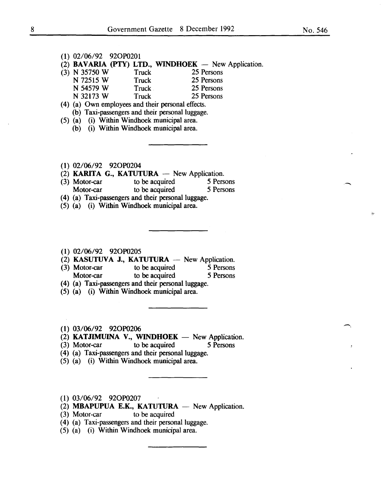--

#### (1) 02/06/92 920P0201

(2) BAVARIA (PTY) LTD., WINDHOEK  $-$  New Application.

| $(3)$ N 35750 W | Truck        | 25 Persons |
|-----------------|--------------|------------|
| N 72515 W       | <b>Truck</b> | 25 Persons |
| N 54579 W       | Truck        | 25 Persons |
| N 32173 W       | Truck        | 25 Persons |

- (4) (a) Own employees and their personal effects. (b) Taxi-passengers and their personal luggage.
- (5) (a) (i) Within Windhoek municipal area.
	- (b) (i) Within Windhoek municipal area.
- (1) 02/06/92 920P0204
- (2) KARITA G., KATUTURA  $-$  New Application.
- (3) Motor-car to be acquired 5 Persons<br>Motor-car to be acquired 5 Persons to be acquired
- (4) (a) Taxi-passengers and their personal luggage.
- (5) (a) (i) Within Windhoek municipal area.
- (1) 02/06/92 920P0205
- (2) KASUTUVA J., KATUTURA -- New Application.<br>
(3) Motor-car to be acquired 5 Persons
- (3) Motor-car to be acquired  $\overline{5}$  Persons Motor-car to be acquired 5 Persons
- (4) (a) Taxi-passengers and their personal luggage.
- (5) (a) (i) Within Windhoek municipal area.
- (1) 03/06/92 920P0206
- (2) KATJIMUINA V., WINDHOEK  $-$  New Application.
- (3) Motor-car to be acquired 5 Persons
- (4) (a) Taxi-passengers and their personal luggage.
- (5) (a) (i) Within Windhoek municipal area.
- (1) 03/06/92 920P0207
- (2) MBAPUPUA E.K., KATUTURA  $-$  New Application.

 $\mathcal{A}$ 

- (3) Motor-car to be acquired
- (4) (a) Taxi-passengers and their personal luggage.
- (5) (a) (i) Within Windhoek municipal area.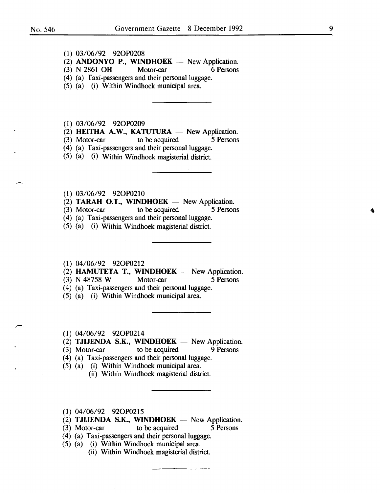- (1) 03/06/92 920P0208
- (2) ANDONYO P., WINDHOEK  $-$  New Application.
- (3) N 2861 OH Motor-car 6 Persons
- (4) (a) Taxi-passengers and their personal luggage.
- (5) (a) (i) Within Windhoek municipal area.
- (1) 03/06/92 920P0209
- (2) HEITHA A.W., KATUTURA  $-$  New Application.
- (3) Motor-car to be acquired 5 Persons
- (4) (a) Taxi-passengers and their personal luggage.
- $(5)$  (a) (i) Within Windhoek magisterial district.
- (1) 03/06/92 920P0210
- (2) TARAH O.T., WINDHOEK  $-$  New Application.
- (3) Motor-car to be acquired *5* Persons
- (4) (a) Taxi-passengers and their personal luggage.
- (5) (a) (i) Within Windhoek magisterial district.
- (1) 04/06/92 920P0212
- (2) **HAMUTETA T., WINDHOEK** New Application.<br>(3) N 48758 W Motor-car 5 Persons
- (3) N 48758 W Motor-car 5 Persons
- (4) (a) Taxi-passengers and their personal luggage.
- (5) (a) (i) Within Windhoek municipal area.
- (1) 04/06/92 920P0214
- (2) TJIJENDA S.K., WINDHOEK  $-$  New Application.
- (3) Motor-car to be acquired 9 Persons
- (4) (a) Taxi-passengers and their personal luggage.
- (5) (a) (i) Within Windhoek municipal area.
	- (ii) Within Windhoek magisterial district.
- (1) 04/06/92 920P0215
- (2) TJIJENDA S.K., WINDHOEK  $-$  New Application.
- (3) Motor-car to be acquired 5 Persons
- (4) (a) Taxi-passengers and their personal luggage.
- (5) (a) (i) Within Windhoek municipal area.
	- (ii) Within Windhoek magisterial district.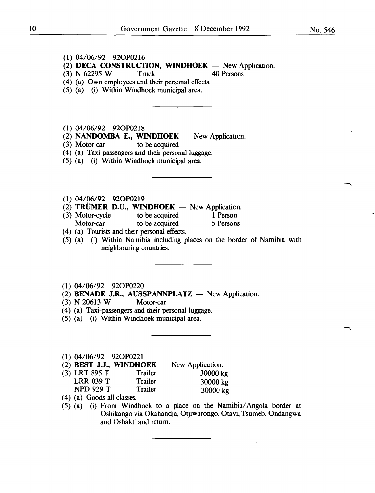- (1) 04/06/92 920P0216
- $(2)$  **DECA CONSTRUCTION, WINDHOEK**  $-$  New Application.
- (3) N 62295 W Truck 40 Persons

- (4) (a) Own employees and their personal effects.
- (5) (a) (i) Within Windhoek municipal area.
- (1) 04/06/92 920P0218
- (2) **NANDOMBA E., WINDHOEK** New Application.
- (3) Motor-car to be acquired
- (4) (a) Taxi-passengers and their personal luggage.
- (5) (a) (i) Within Windhoek municipal area.
- (1) 04/06/92 920P0219
- (2) **TRÜMER D.U., WINDHOEK** New Application.<br>(3) Motor-cycle to be acquired 1 Person
- (3) Motor-cycle to be acquired **1** Person Motor-car to be acquired 5 Persons
- ( 4) (a) Tourists and their personal effects.
- (5) (a) (i) Within Namibia including places on the border of Namibia with neighbouring countries.
- (1) 04/06/92 920P0220
- (2) **BENADE J.R., AUSSPANNPLATZ** New Application.
- (3) N 20613 W Motor-car
- (4) (a) Taxi-passengers and their personal luggage.
- (5) (a) (i) Within Windhoek municipal area.
- (1) 04/06/92 920P0221
- $(2)$  **BEST J.J., WINDHOEK** New Application.
- (3) LRT 895 T Trailer 30000 kg LRR 039 T Trailer 30000 kg NPD 929 T Trailer 30000 kg
- ( 4) (a) Goods all classes.
- (5) (a) (i) From Windhoek to a place on the Namibia/ Angola border at Oshikango via Okahandja, Otjiwarongo, Otavi, Tsumeb, Ondangwa and Oshakti and return.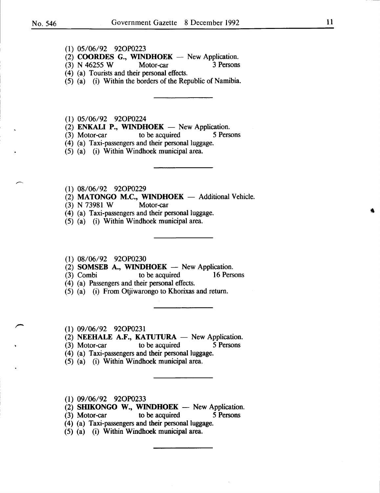- (1) 05/06/92 920P0223
- (2) COORDES G., WINDHOEK  $-$  New Application.
- (3) N 46255 W Motor-car 3 Persons
- (4) (a) Tourists and their personal effects.
- (5) (a) (i) Within the borders of the Republic of Namibia.
- (1) 05/06/92 920P0224
- (2) **ENKALI P., WINDHOEK**  $-$  New Application.<br>(3) Motor-car to be acquired 5 Pers
- (3) Motor-car to be acquired 5 Persons
- (4) (a) Taxi-passengers and their personal luggage.
- (5) (a) (i) Within Windhoek municipal area.
- (1) 08/06/92 920P0229
- $(2)$  MATONGO M.C., WINDHOEK Additional Vehicle.
- (3) N 73981 W Motor-car
- (4) (a) Taxi-passengers and their personal luggage.
- (5) (a) (i) Within Windhoek municipal area.
- (1) 08/06/92 920P0230
- (2) SOMSEB A., WINDHOEK  $-$  New Application.
- (3) Combi to be acquired 16 Persons
- ( 4) (a) Passengers and their personal effects.
- (5) (a) (i) From Otjiwarongo to Khorixas and return.
- (1) 09/06/92 920P0231
- (2) NEEHALE A.F., KATUTURA  $-$  New Application.<br>(3) Motor-car to be acquired 5 Persons
- $(3)$  Motor-car
- (4) (a) Taxi-passengers and their personal luggage.
- (5) (a) (i) Within Windhoek municipal area.
- (1) 09/06/92 920P0233
- (2) SHIKONGO W., WINDHOEK  $-$  New Application.
- (3) Motor-car to be acquired 5 Persons
- (4) (a) Taxi-passengers and their personal luggage.
- (5) (a) (i) Within Windhoek municipal area.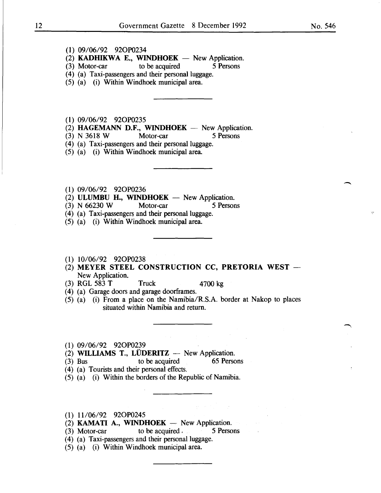- (1) 09/06/92 920P0234
- (2) **KADHIKWA E., WINDHOEK**  $-$  New Application.<br>
(3) Motor-car to be acquired 5 Persons
- $(3)$  Motor-car to be acquired
- (4) (a) Taxi-passengers and their personal luggage.
- (5) (a) (i) Within Windhoek municipal area.
- (1) 09/06/92 920P0235
- (2) **HAGEMANN D.F., WINDHOEK** New Application.<br>(3) N 3618 W Motor-car 5 Persons
- $(3)$  N 3618 W
- (4) (a) Taxi-passengers and their personal luggage.
- (5) (a) (i) Within Windhoek municipal area.
- (1) 09/06/92 920P0236
- $(2)$  **ULUMBU H., WINDHOEK** New Application.
- (3) N 66230 W Motor-car 5 Persons
- (4) (a) Taxi-passengers and their personal luggage.
- (5) (a) (i) Within Windhoek municipal area.
- (1) 10/06/92 920P0238
- (2) MEYER STEEL CONSTRUCTION CC, PRETORIA WEST -New Application.
- (3) RGL 583 **T** Truck 4700 kg
- ( 4) (a) Garage doors and garage doorframes.
- (5) (a) (i) From a place on the Namibia/R.S.A. border at Nakop to places situated within Namibia and return.
- (1) 09/06/92 920P0239
- $(2)$  **WILLIAMS T., LÜDERITZ** New Application.
- (3) Bus to be acquired 65 Persons
- ( 4) (a) Tourists and their personal effects.
- (5) (a) (i) Within the borders of the Republic of Namibia.
- (1) 11/06/92 920P0245
- $(2)$  **KAMATI A., WINDHOEK** -- New Application.
- (3) Motor-car to be acquired . 5 Persons
- (4) (a) Taxi-passengers and their personal luggage.
- (5) (a) (i) Within Windhoek municipal area.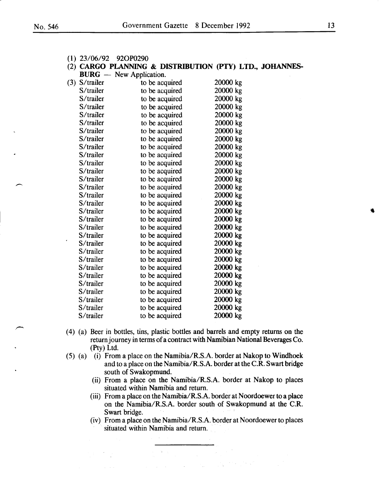|  |  | $(1)$ 23/06/92 | 92OP0290 |
|--|--|----------------|----------|
|--|--|----------------|----------|

#### (2) CARGO PLANNING & DISTRIBUTION (PTY) LTD., JOHANNES-**BURG** - New Application.

| $(3)$ S/trailer | to be acquired  | 20000 kg |
|-----------------|-----------------|----------|
| S/trailer       | to be acquired  | 20000 kg |
| S/trailer       | to be acquired  | 20000 kg |
| S/trailer       | to be acquired  | 20000 kg |
| S/trailer       | to be acquired  | 20000 kg |
| S/trailer       | to be acquired  | 20000 kg |
| S/trailer       | to be acquired  | 20000 kg |
| S/trailer       | to be acquired. | 20000 kg |
| S/trailer       | to be acquired  | 20000 kg |
| S/trailer       | to be acquired  | 20000 kg |
| S/trailer       | to be acquired  | 20000 kg |
| S/trailer       | to be acquired  | 20000 kg |
| S/trailer       | to be acquired  | 20000 kg |
| S/trailer       | to be acquired  | 20000 kg |
| S/trailer       | to be acquired  | 20000 kg |
| S/trailer       | to be acquired  | 20000 kg |
| S/trailer       | to be acquired  | 20000 kg |
| S/trailer       | to be acquired  | 20000 kg |
| S/trailer       | to be acquired  | 20000 kg |
| S/trailer       | to be acquired  | 20000 kg |
| S/trailer       | to be acquired  | 20000 kg |
| S/trailer       | to be acquired  | 20000 kg |
| S/trailer       | to be acquired  | 20000 kg |
| S/trailer       | to be acquired  | 20000 kg |
| S/trailer       | to be acquired  | 20000 kg |
| S/trailer       | to be acquired  | 20000 kg |
| S/trailer       | to be acquired  | 20000 kg |
| S/trailer       | to be acquired  | 20000 kg |
| S/trailer       | to be acquired  | 20000 kg |
| S/trailer       | to be acquired  | 20000 kg |
|                 |                 |          |

- ( 4) (a) Beer in bottles, tins, plastic bottles and barrels and empty returns on the return journey in terms of a contract with Namibian National Beverages Co. (Pty) Ltd.
- (5) (a) (i) From a place on the Namibia/R.S.A. border at Nakop to Windhoek and to a place on the Namibia/R.S.A. border at the C.R. Swart bridge south of Swakopmund.
	- (ii) From a place on the Namibia/R.S.A. border at Nakop to places situated within Namibia and return.
	- (iii) From a place on the Namibia/R.S.A. border at Noordoewer to a place on the Namibia/R.S.A. border south of Swakopmund at the C.R. Swart bridge.
	- (iv) From a place on the Namibia/R.S.A. border at Noordoewer to places situated within Namibia and return.

 $\mathbf{w} = \sqrt{1 - \mathbf{w}}$ 

 $\frac{1}{2}$  ,  $\frac{1}{2}$  ,  $\frac{1}{2}$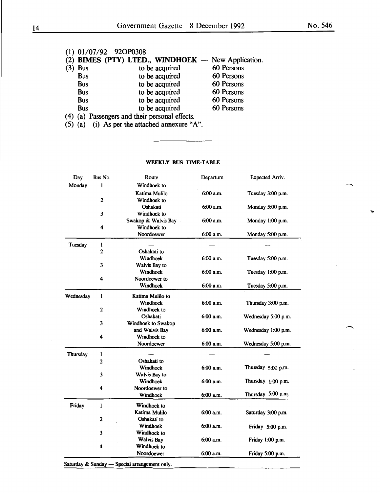#### (1) 01/07/92 92OP0308 (2) **DIMES (PTY) LTED., WINDHOEK**  New Application.  $(3)$  Bus to be acquired<br>Bus to be acquired Bus to be acquired<br>Bus to be acquired Bus to be acquired<br>Bus to be acquired Bus to be acquired<br>Bus to be acquired Bus to be acquired<br>Bus to be acquired to be acquired 60 Persons 60 Persons 60 Persons 60 Persons 60 Persons 60 Persons

- ( 4) (a) Passengers and their personal effects.
- (5) (a) (i) As per the attached annexure "A".

#### WEEKLY BUS TIME-TABLE

| Day       | Bus No.                 | Route               | Departure   | <b>Expected Arriv.</b> |
|-----------|-------------------------|---------------------|-------------|------------------------|
| Monday    | l                       | Windhoek to         |             |                        |
|           |                         | Katima Mulilo       | 6:00a.m.    | Tuesday 3:00 p.m.      |
|           | $\mathbf{2}$            | Windhoek to         |             |                        |
|           |                         | Oshakati            | 6:00 a.m.   | Monday 5:00 p.m.       |
|           | 3                       | Windhoek to         |             |                        |
|           |                         | Swakop & Walvis Bay | $6:00$ a.m. | Monday 1:00 p.m.       |
|           | 4                       | Windhoek to         |             |                        |
|           |                         | Noordoewer          | 6:00 a.m.   | Monday 5:00 p.m.       |
| Tuesday   | 1                       |                     |             |                        |
|           | $\overline{2}$          | Oshakati to         |             |                        |
|           |                         | Windhoek            | 6:00 a.m.   | Tuesday 5:00 p.m.      |
|           | 3                       | Walvis Bay to       |             |                        |
|           |                         | Windhoek            | 6:00 a.m.   | Tuesday 1:00 p.m.      |
|           | 4                       | Noordoewer to       |             |                        |
|           |                         | Windhoek            | 6:00 a.m.   | Tuesday 5:00 p.m.      |
| Wednesday | 1                       | Katima Mulilo to    |             |                        |
|           |                         | Windhoek            | 6:00 a.m.   | Thursday 3:00 p.m.     |
|           | $\mathbf{2}$            | Windhoek to         |             |                        |
|           |                         | Oshakati            | 6:00 a.m.   | Wednesday 5:00 p.m.    |
|           | 3                       | Windhoek to Swakop  |             |                        |
|           |                         | and Walvis Bay      | 6:00 a.m.   | Wednesday 1:00 p.m.    |
|           | 4                       | Windhoek to         |             |                        |
|           |                         | Noordoewer          | 6:00 a.m.   | Wednesday 5:00 p.m.    |
|           | 1                       |                     |             |                        |
| Thursday  |                         | Oshakati to         |             |                        |
|           | $\overline{2}$          | Windhoek            | 6:00 a.m.   | Thursday 5:00 p.m.     |
|           | 3                       | Walvis Bay to       |             |                        |
|           |                         | Windhoek            | 6:00 a.m.   | Thursday. 1:00 p.m.    |
|           | 4                       | Noordoewer to       |             |                        |
|           |                         | Windhoek            | 6:00 a.m.   | Thursday 5:00 p.m.     |
|           |                         |                     |             |                        |
| Friday    | $\mathbf{1}$            | Windhoek to         |             |                        |
|           |                         | Katima Mulilo       | 6:00 a.m.   | Saturday 3:00 p.m.     |
|           | $\overline{\mathbf{c}}$ | Oshakati to         |             |                        |
|           |                         | Windhoek            | 6:00 a.m.   | Friday 5:00 p.m.       |
|           | 3                       | Windhoek to         |             |                        |
|           |                         | Walvis Bay          | 6:00 a.m.   | Friday 1:00 p.m.       |
|           | 4                       | Windhoek to         |             |                        |
|           |                         | Noordoewer          | 6:00 a.m.   | Friday 5:00 p.m.       |